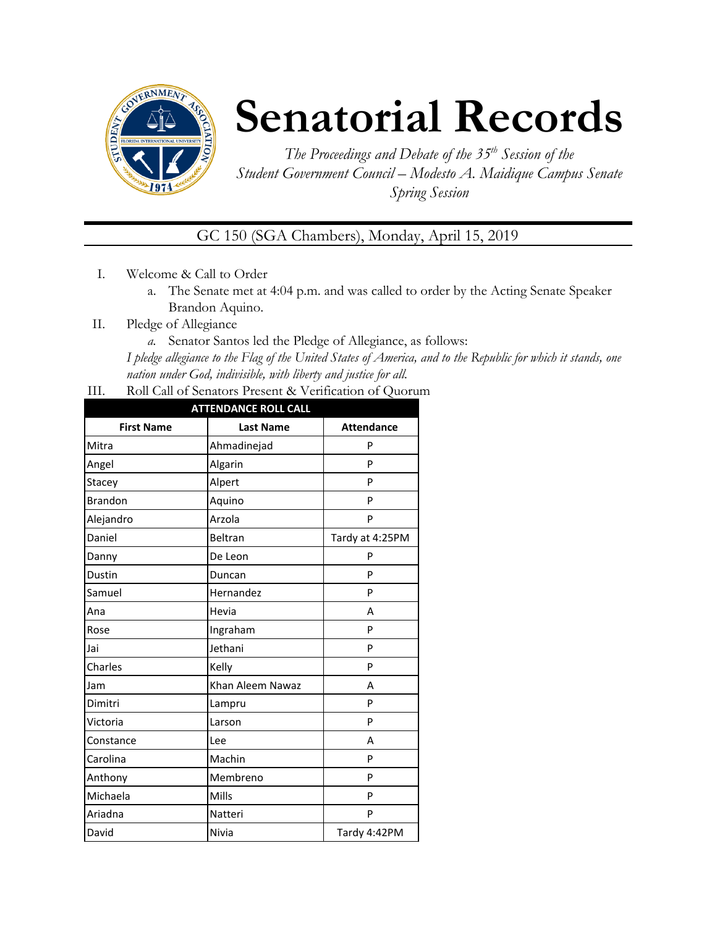

# **Senatorial Records**

*The Proceedings and Debate of the 35 th Session of the Student Government Council – Modesto A. Maidique Campus Senate Spring Session*

# GC 150 (SGA Chambers), Monday, April 15, 2019

- I. Welcome & Call to Order
	- a. The Senate met at 4:04 p.m. and was called to order by the Acting Senate Speaker Brandon Aquino.
- II. Pledge of Allegiance
	- *a.* Senator Santos led the Pledge of Allegiance, as follows:

*I pledge allegiance to the Flag of the United States of America, and to the Republic for which it stands, one nation under God, indivisible, with liberty and justice for all.*

III. Roll Call of Senators Present & Verification of Quorum

| <b>ATTENDANCE ROLL CALL</b> |                  |                   |  |  |
|-----------------------------|------------------|-------------------|--|--|
| <b>First Name</b>           | <b>Last Name</b> | <b>Attendance</b> |  |  |
| Mitra                       | Ahmadinejad      | P                 |  |  |
| Angel                       | Algarin          | P                 |  |  |
| Stacey                      | Alpert           | P                 |  |  |
| <b>Brandon</b>              | Aquino           | P                 |  |  |
| Alejandro                   | Arzola           | P                 |  |  |
| Daniel                      | Beltran          | Tardy at 4:25PM   |  |  |
| Danny                       | De Leon          | P                 |  |  |
| Dustin                      | Duncan           | P                 |  |  |
| Samuel                      | Hernandez        | P                 |  |  |
| Ana                         | Hevia            | A                 |  |  |
| Rose                        | Ingraham         | P                 |  |  |
| Jai                         | Jethani          | P                 |  |  |
| Charles                     | Kelly            | P                 |  |  |
| Jam                         | Khan Aleem Nawaz | A                 |  |  |
| Dimitri                     | Lampru           | P                 |  |  |
| Victoria                    | Larson           | P                 |  |  |
| Constance                   | Lee              | A                 |  |  |
| Carolina                    | Machin           | P                 |  |  |
| Anthony                     | Membreno         | P                 |  |  |
| Michaela                    | Mills            | P                 |  |  |
| Ariadna                     | Natteri          | P                 |  |  |
| David                       | Nivia            | Tardy 4:42PM      |  |  |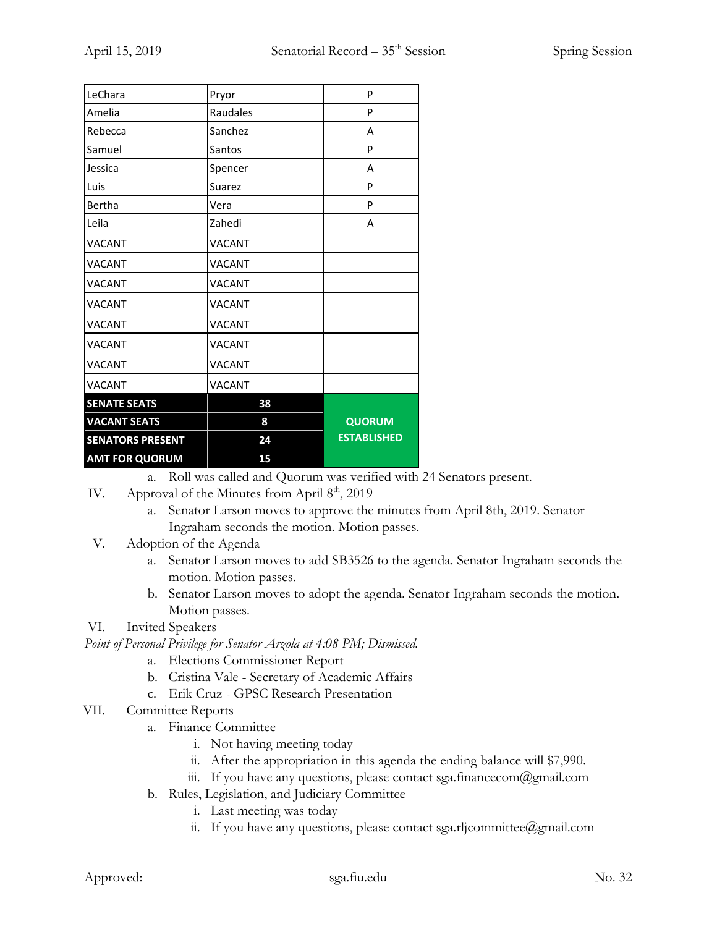| LeChara                 | Pryor         | P                  |
|-------------------------|---------------|--------------------|
| Amelia                  | Raudales      | P                  |
| Rebecca                 | Sanchez       | A                  |
| Samuel                  | Santos        | P                  |
| Jessica                 | Spencer       | A                  |
| Luis                    | Suarez        | P                  |
| Bertha                  | Vera          | P                  |
| Leila                   | Zahedi        | А                  |
| <b>VACANT</b>           | <b>VACANT</b> |                    |
| <b>VACANT</b>           | <b>VACANT</b> |                    |
| <b>VACANT</b>           | <b>VACANT</b> |                    |
| <b>VACANT</b>           | <b>VACANT</b> |                    |
| <b>VACANT</b>           | <b>VACANT</b> |                    |
| <b>VACANT</b>           | <b>VACANT</b> |                    |
| <b>VACANT</b>           | <b>VACANT</b> |                    |
| <b>VACANT</b>           | <b>VACANT</b> |                    |
| <b>SENATE SEATS</b>     | 38            |                    |
| <b>VACANT SEATS</b>     | 8             | <b>QUORUM</b>      |
| <b>SENATORS PRESENT</b> | 24            | <b>ESTABLISHED</b> |
| <b>AMT FOR QUORUM</b>   | 15            |                    |

a. Roll was called and Quorum was verified with 24 Senators present.

- IV. Approval of the Minutes from April  $8<sup>th</sup>$ , 2019
	- a. Senator Larson moves to approve the minutes from April 8th, 2019. Senator Ingraham seconds the motion. Motion passes.
- V. Adoption of the Agenda
	- a. Senator Larson moves to add SB3526 to the agenda. Senator Ingraham seconds the motion. Motion passes.
	- b. Senator Larson moves to adopt the agenda. Senator Ingraham seconds the motion. Motion passes.

#### VI. Invited Speakers

*Point of Personal Privilege for Senator Arzola at 4:08 PM; Dismissed.*

- a. Elections Commissioner Report
- b. Cristina Vale Secretary of Academic Affairs
- c. Erik Cruz GPSC Research Presentation
- VII. Committee Reports
	- a. Finance Committee
		- i. Not having meeting today
		- ii. After the appropriation in this agenda the ending balance will \$7,990.
		- iii. If you have any questions, please contact sga.financecom@gmail.com
	- b. Rules, Legislation, and Judiciary Committee
		- i. Last meeting was today
		- ii. If you have any questions, please contact sga.rljcommittee@gmail.com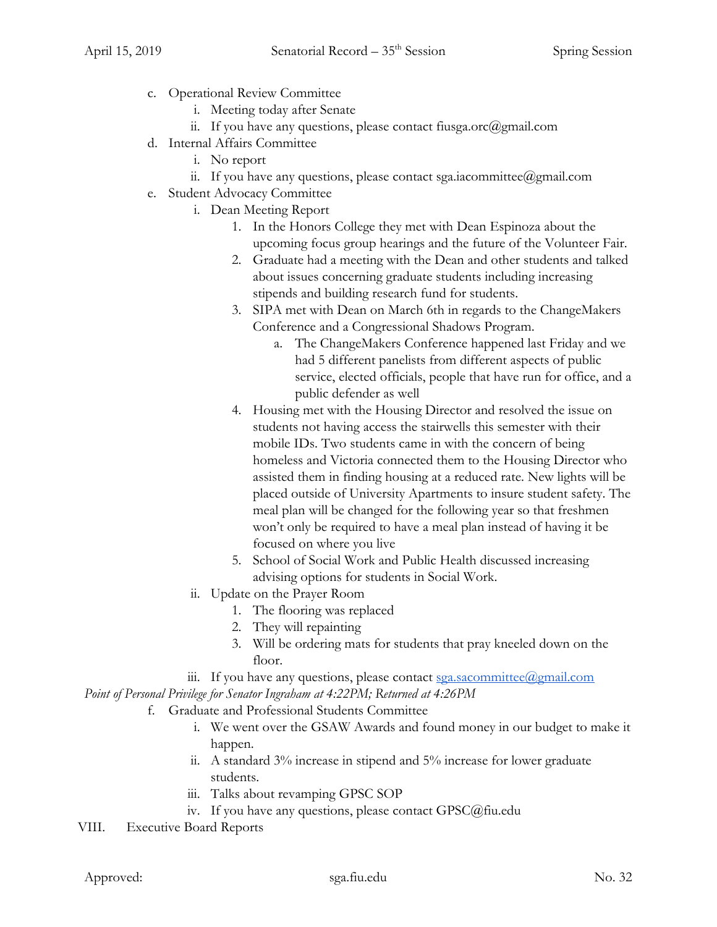- c. Operational Review Committee
	- i. Meeting today after Senate
	- ii. If you have any questions, please contact fiusga.orc $(\partial g$ mail.com
- d. Internal Affairs Committee
	- i. No report
	- ii. If you have any questions, please contact sga.iacommittee@gmail.com
- e. Student Advocacy Committee
	- i. Dean Meeting Report
		- 1. In the Honors College they met with Dean Espinoza about the upcoming focus group hearings and the future of the Volunteer Fair.
		- 2. Graduate had a meeting with the Dean and other students and talked about issues concerning graduate students including increasing stipends and building research fund for students.
		- 3. SIPA met with Dean on March 6th in regards to the ChangeMakers Conference and a Congressional Shadows Program.
			- a. The ChangeMakers Conference happened last Friday and we had 5 different panelists from different aspects of public service, elected officials, people that have run for office, and a public defender as well
		- 4. Housing met with the Housing Director and resolved the issue on students not having access the stairwells this semester with their mobile IDs. Two students came in with the concern of being homeless and Victoria connected them to the Housing Director who assisted them in finding housing at a reduced rate. New lights will be placed outside of University Apartments to insure student safety. The meal plan will be changed for the following year so that freshmen won't only be required to have a meal plan instead of having it be focused on where you live
		- 5. School of Social Work and Public Health discussed increasing advising options for students in Social Work.
	- ii. Update on the Prayer Room
		- 1. The flooring was replaced
		- 2. They will repainting
		- 3. Will be ordering mats for students that pray kneeled down on the floor.
	- iii. If you have any questions, please contact  $sga.sacommitte@gmail.com$

*Point of Personal Privilege for Senator Ingraham at 4:22PM; Returned at 4:26PM*

- f. Graduate and Professional Students Committee
	- i. We went over the GSAW Awards and found money in our budget to make it happen.
	- ii. A standard 3% increase in stipend and 5% increase for lower graduate students.
	- iii. Talks about revamping GPSC SOP
	- iv. If you have any questions, please contact GPSC@fiu.edu
- VIII. Executive Board Reports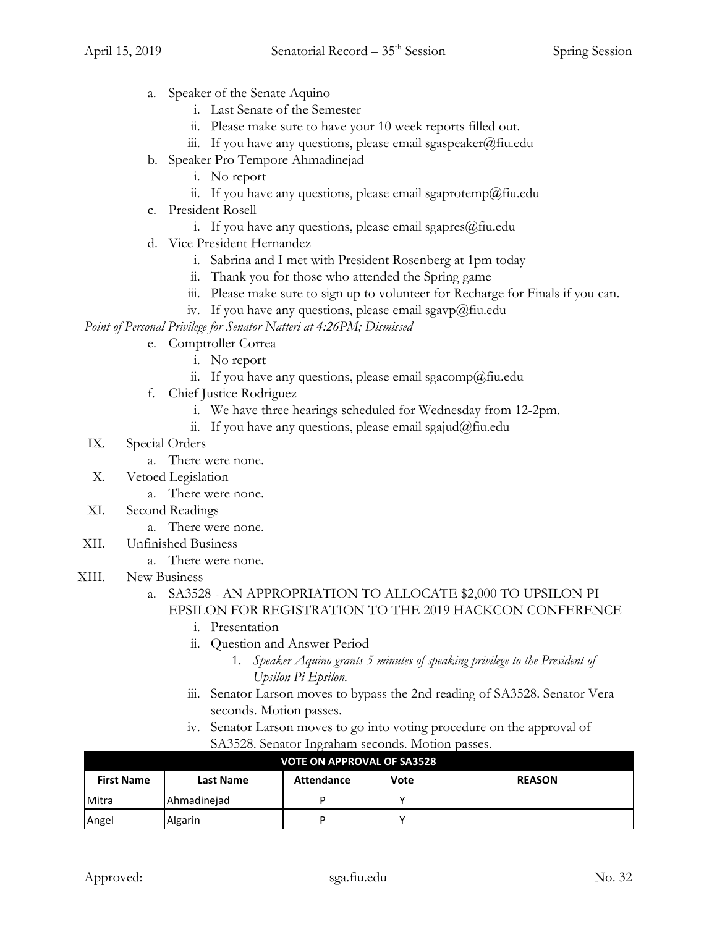- a. Speaker of the Senate Aquino
	- i. Last Senate of the Semester
	- ii. Please make sure to have your 10 week reports filled out.
	- iii. If you have any questions, please email sgaspeaker@fiu.edu
- b. Speaker Pro Tempore Ahmadinejad
	- i. No report
	- ii. If you have any questions, please email sgaprotemp@fiu.edu
- c. President Rosell
	- i. If you have any questions, please email sgapres $@$ fiu.edu
- d. Vice President Hernandez
	- i. Sabrina and I met with President Rosenberg at 1pm today
	- ii. Thank you for those who attended the Spring game
	- iii. Please make sure to sign up to volunteer for Recharge for Finals if you can.
	- iv. If you have any questions, please email sgavp $@$ fiu.edu

*Point of Personal Privilege for Senator Natteri at 4:26PM; Dismissed*

## e. Comptroller Correa

- i. No report
- ii. If you have any questions, please email sgacomp@fiu.edu
- f. Chief Justice Rodriguez
	- i. We have three hearings scheduled for Wednesday from 12-2pm.
	- ii. If you have any questions, please email sgajud@fiu.edu
- IX. Special Orders
	- a. There were none.
- X. Vetoed Legislation
	- a. There were none.
- XI. Second Readings
	- a. There were none.
- XII. Unfinished Business
	- a. There were none.
- XIII. New Business

## a. SA3528 - AN APPROPRIATION TO ALLOCATE \$2,000 TO UPSILON PI EPSILON FOR REGISTRATION TO THE 2019 HACKCON CONFERENCE

- i. Presentation
- ii. Question and Answer Period
	- 1. *Speaker Aquino grants 5 minutes of speaking privilege to the President of Upsilon Pi Epsilon.*
- iii. Senator Larson moves to bypass the 2nd reading of SA3528. Senator Vera seconds. Motion passes.
- iv. Senator Larson moves to go into voting procedure on the approval of SA3528. Senator Ingraham seconds. Motion passes.

| <b>VOTE ON APPROVAL OF SA3528</b> |                  |            |      |               |
|-----------------------------------|------------------|------------|------|---------------|
| <b>First Name</b>                 | <b>Last Name</b> | Attendance | Vote | <b>REASON</b> |
| Mitra                             | Ahmadinejad      | D          |      |               |
| Angel                             | Algarin          | D          |      |               |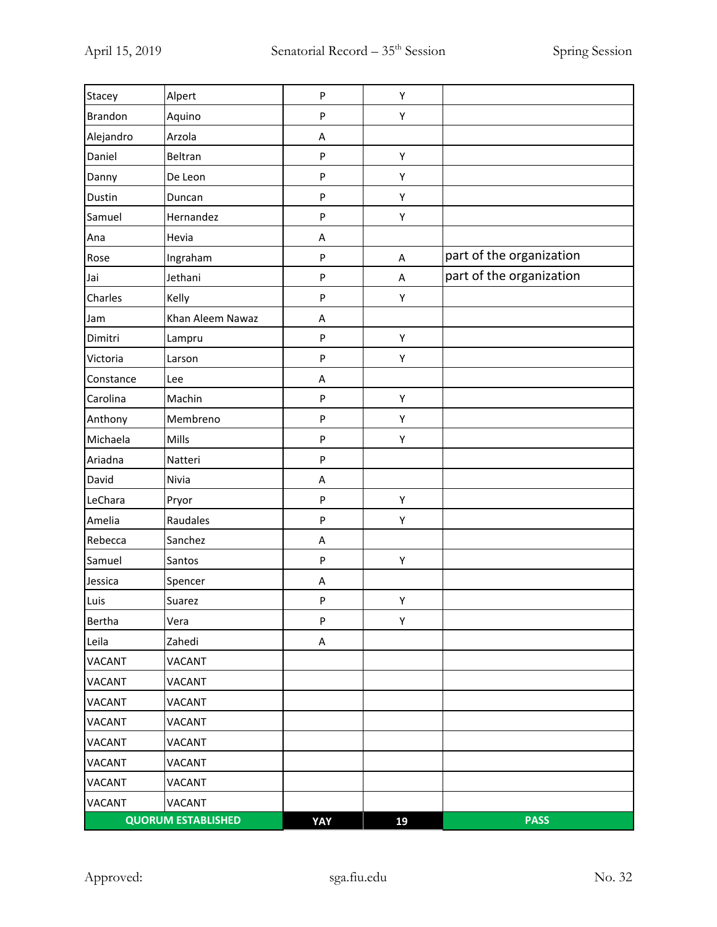| Stacey        | Alpert                    | P            | Υ  |                          |
|---------------|---------------------------|--------------|----|--------------------------|
| Brandon       | Aquino                    | ${\sf P}$    | Υ  |                          |
| Alejandro     | Arzola                    | Α            |    |                          |
| Daniel        | Beltran                   | ${\sf P}$    | Υ  |                          |
| Danny         | De Leon                   | ${\sf P}$    | Υ  |                          |
| Dustin        | Duncan                    | $\mathsf{P}$ | Υ  |                          |
| Samuel        | Hernandez                 | $\sf P$      | Υ  |                          |
| Ana           | Hevia                     | A            |    |                          |
| Rose          | Ingraham                  | ${\sf P}$    | A  | part of the organization |
| Jai           | Jethani                   | ${\sf P}$    | A  | part of the organization |
| Charles       | Kelly                     | ${\sf P}$    | Υ  |                          |
| Jam           | Khan Aleem Nawaz          | A            |    |                          |
| Dimitri       | Lampru                    | ${\sf P}$    | Υ  |                          |
| Victoria      | Larson                    | $\mathsf{P}$ | Υ  |                          |
| Constance     | Lee                       | A            |    |                          |
| Carolina      | Machin                    | ${\sf P}$    | Υ  |                          |
| Anthony       | Membreno                  | ${\sf P}$    | Υ  |                          |
| Michaela      | Mills                     | ${\sf P}$    | Υ  |                          |
| Ariadna       | Natteri                   | ${\sf P}$    |    |                          |
| David         | Nivia                     | A            |    |                          |
| LeChara       | Pryor                     | ${\sf P}$    | Υ  |                          |
| Amelia        | Raudales                  | ${\sf P}$    | Υ  |                          |
| Rebecca       | Sanchez                   | Α            |    |                          |
| Samuel        | Santos                    | ${\sf P}$    | Υ  |                          |
| Jessica       | Spencer                   | А            |    |                          |
| Luis          | Suarez                    | ${\sf P}$    | Υ  |                          |
| Bertha        | Vera                      | ${\sf P}$    | Υ  |                          |
| Leila         | Zahedi                    | Α            |    |                          |
| VACANT        | VACANT                    |              |    |                          |
| <b>VACANT</b> | <b>VACANT</b>             |              |    |                          |
| <b>VACANT</b> | VACANT                    |              |    |                          |
| <b>VACANT</b> | <b>VACANT</b>             |              |    |                          |
| <b>VACANT</b> | <b>VACANT</b>             |              |    |                          |
| <b>VACANT</b> | VACANT                    |              |    |                          |
| VACANT        | VACANT                    |              |    |                          |
| <b>VACANT</b> | <b>VACANT</b>             |              |    |                          |
|               | <b>QUORUM ESTABLISHED</b> | YAY          | 19 | <b>PASS</b>              |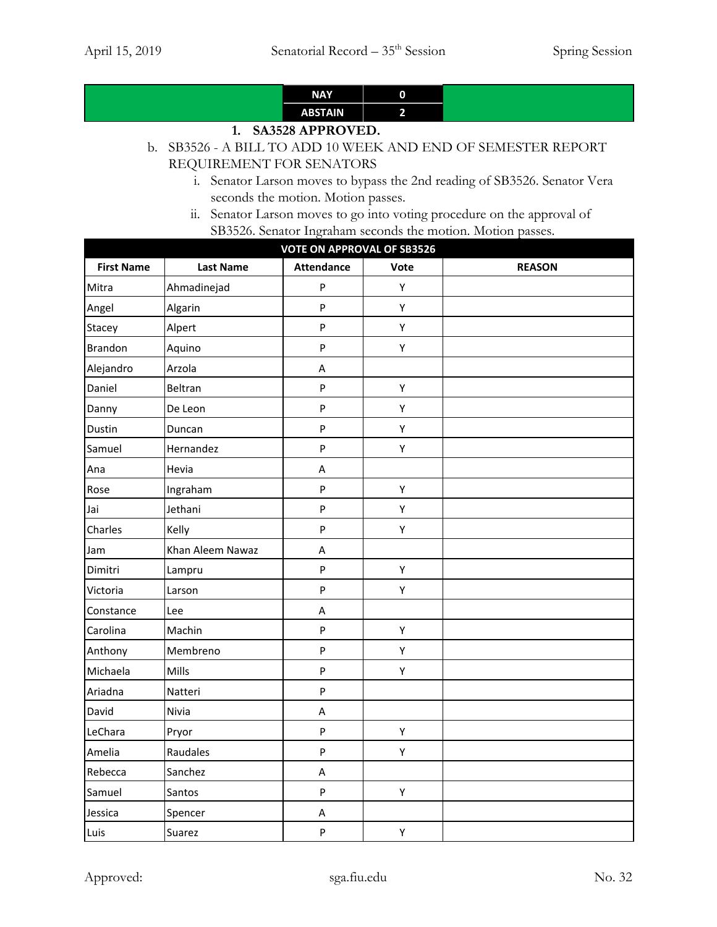| <b>NAY</b>     | ŋ |
|----------------|---|
| <b>ABSTAIN</b> |   |

# **1. SA3528 APPROVED.**

# b. SB3526 - A BILL TO ADD 10 WEEK AND END OF SEMESTER REPORT REQUIREMENT FOR SENATORS

- i. Senator Larson moves to bypass the 2nd reading of SB3526. Senator Vera seconds the motion. Motion passes.
- ii. Senator Larson moves to go into voting procedure on the approval of SB3526. Senator Ingraham seconds the motion. Motion passes.

| <b>VOTE ON APPROVAL OF SB3526</b> |                  |                   |      |               |
|-----------------------------------|------------------|-------------------|------|---------------|
| <b>First Name</b>                 | <b>Last Name</b> | <b>Attendance</b> | Vote | <b>REASON</b> |
| Mitra                             | Ahmadinejad      | P                 | Υ    |               |
| Angel                             | Algarin          | P                 | Υ    |               |
| Stacey                            | Alpert           | P                 | Υ    |               |
| <b>Brandon</b>                    | Aquino           | P                 | Υ    |               |
| Alejandro                         | Arzola           | Α                 |      |               |
| Daniel                            | Beltran          | ${\sf P}$         | Υ    |               |
| Danny                             | De Leon          | P                 | Υ    |               |
| Dustin                            | Duncan           | P                 | Υ    |               |
| Samuel                            | Hernandez        | P                 | Υ    |               |
| Ana                               | Hevia            | $\sf A$           |      |               |
| Rose                              | Ingraham         | P                 | Υ    |               |
| Jai                               | Jethani          | P                 | Υ    |               |
| Charles                           | Kelly            | P                 | Υ    |               |
| Jam                               | Khan Aleem Nawaz | А                 |      |               |
| Dimitri                           | Lampru           | P                 | Υ    |               |
| Victoria                          | Larson           | P                 | Υ    |               |
| Constance                         | Lee              | A                 |      |               |
| Carolina                          | Machin           | P                 | Υ    |               |
| Anthony                           | Membreno         | P                 | Υ    |               |
| Michaela                          | Mills            | P                 | Υ    |               |
| Ariadna                           | Natteri          | ${\sf P}$         |      |               |
| David                             | Nivia            | A                 |      |               |
| LeChara                           | Pryor            | ${\sf P}$         | Υ    |               |
| Amelia                            | Raudales         | P                 | Υ    |               |
| Rebecca                           | Sanchez          | $\sf A$           |      |               |
| Samuel                            | Santos           | P                 | Υ    |               |
| Jessica                           | Spencer          | A                 |      |               |
| Luis                              | Suarez           | P                 | Υ    |               |